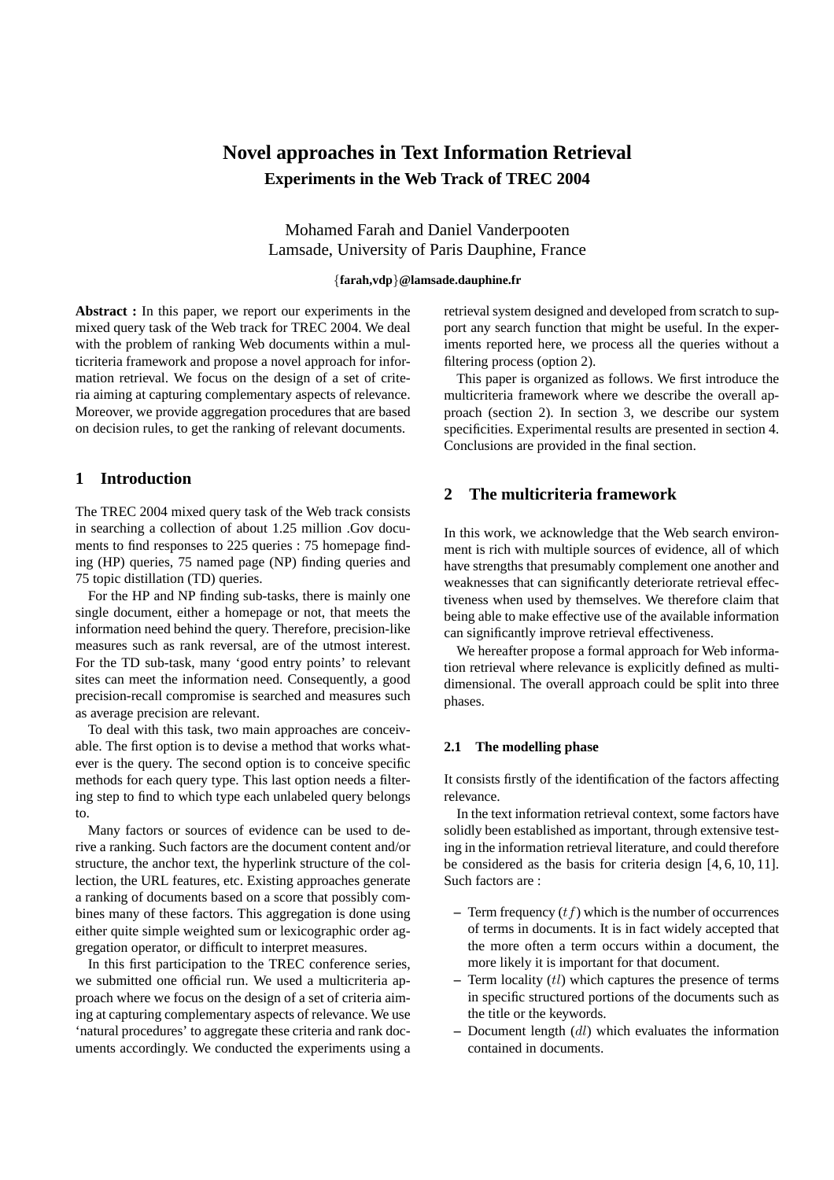# **Novel approaches in Text Information Retrieval Experiments in the Web Track of TREC 2004**

Mohamed Farah and Daniel Vanderpooten Lamsade, University of Paris Dauphine, France

## {**farah,vdp**}**@lamsade.dauphine.fr**

**Abstract :** In this paper, we report our experiments in the mixed query task of the Web track for TREC 2004. We deal with the problem of ranking Web documents within a multicriteria framework and propose a novel approach for information retrieval. We focus on the design of a set of criteria aiming at capturing complementary aspects of relevance. Moreover, we provide aggregation procedures that are based on decision rules, to get the ranking of relevant documents.

## **1 Introduction**

The TREC 2004 mixed query task of the Web track consists in searching a collection of about 1.25 million .Gov documents to find responses to 225 queries : 75 homepage finding (HP) queries, 75 named page (NP) finding queries and 75 topic distillation (TD) queries.

For the HP and NP finding sub-tasks, there is mainly one single document, either a homepage or not, that meets the information need behind the query. Therefore, precision-like measures such as rank reversal, are of the utmost interest. For the TD sub-task, many 'good entry points' to relevant sites can meet the information need. Consequently, a good precision-recall compromise is searched and measures such as average precision are relevant.

To deal with this task, two main approaches are conceivable. The first option is to devise a method that works whatever is the query. The second option is to conceive specific methods for each query type. This last option needs a filtering step to find to which type each unlabeled query belongs to.

Many factors or sources of evidence can be used to derive a ranking. Such factors are the document content and/or structure, the anchor text, the hyperlink structure of the collection, the URL features, etc. Existing approaches generate a ranking of documents based on a score that possibly combines many of these factors. This aggregation is done using either quite simple weighted sum or lexicographic order aggregation operator, or difficult to interpret measures.

In this first participation to the TREC conference series, we submitted one official run. We used a multicriteria approach where we focus on the design of a set of criteria aiming at capturing complementary aspects of relevance. We use 'natural procedures' to aggregate these criteria and rank documents accordingly. We conducted the experiments using a retrieval system designed and developed from scratch to support any search function that might be useful. In the experiments reported here, we process all the queries without a filtering process (option 2).

This paper is organized as follows. We first introduce the multicriteria framework where we describe the overall approach (section 2). In section 3, we describe our system specificities. Experimental results are presented in section 4. Conclusions are provided in the final section.

# **2 The multicriteria framework**

In this work, we acknowledge that the Web search environment is rich with multiple sources of evidence, all of which have strengths that presumably complement one another and weaknesses that can significantly deteriorate retrieval effectiveness when used by themselves. We therefore claim that being able to make effective use of the available information can significantly improve retrieval effectiveness.

We hereafter propose a formal approach for Web information retrieval where relevance is explicitly defined as multidimensional. The overall approach could be split into three phases.

## **2.1 The modelling phase**

It consists firstly of the identification of the factors affecting relevance.

In the text information retrieval context, some factors have solidly been established as important, through extensive testing in the information retrieval literature, and could therefore be considered as the basis for criteria design [4, 6, 10, 11]. Such factors are :

- **–** Term frequency (tf) which is the number of occurrences of terms in documents. It is in fact widely accepted that the more often a term occurs within a document, the more likely it is important for that document.
- **–** Term locality (tl) which captures the presence of terms in specific structured portions of the documents such as the title or the keywords.
- **–** Document length (dl) which evaluates the information contained in documents.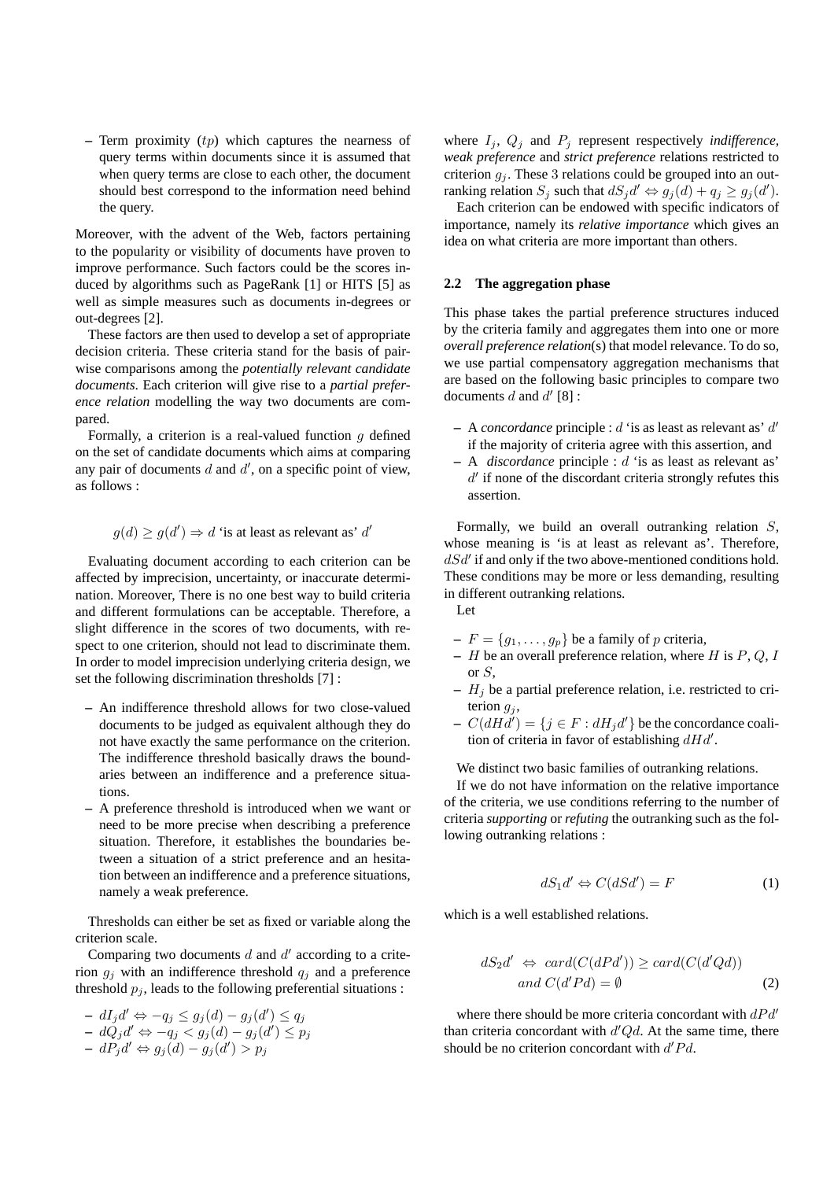**–** Term proximity (tp) which captures the nearness of query terms within documents since it is assumed that when query terms are close to each other, the document should best correspond to the information need behind the query.

Moreover, with the advent of the Web, factors pertaining to the popularity or visibility of documents have proven to improve performance. Such factors could be the scores induced by algorithms such as PageRank [1] or HITS [5] as well as simple measures such as documents in-degrees or out-degrees [2].

These factors are then used to develop a set of appropriate decision criteria. These criteria stand for the basis of pairwise comparisons among the *potentially relevant candidate documents*. Each criterion will give rise to a *partial preference relation* modelling the way two documents are compared.

Formally, a criterion is a real-valued function  $q$  defined on the set of candidate documents which aims at comparing any pair of documents  $d$  and  $d'$ , on a specific point of view, as follows :

$$
g(d) \ge g(d') \Rightarrow d
$$
 'is at least as relevant as'  $d'$ 

Evaluating document according to each criterion can be affected by imprecision, uncertainty, or inaccurate determination. Moreover, There is no one best way to build criteria and different formulations can be acceptable. Therefore, a slight difference in the scores of two documents, with respect to one criterion, should not lead to discriminate them. In order to model imprecision underlying criteria design, we set the following discrimination thresholds [7] :

- **–** An indifference threshold allows for two close-valued documents to be judged as equivalent although they do not have exactly the same performance on the criterion. The indifference threshold basically draws the boundaries between an indifference and a preference situations.
- **–** A preference threshold is introduced when we want or need to be more precise when describing a preference situation. Therefore, it establishes the boundaries between a situation of a strict preference and an hesitation between an indifference and a preference situations, namely a weak preference.

Thresholds can either be set as fixed or variable along the criterion scale.

Comparing two documents  $d$  and  $d'$  according to a criterion  $g_i$  with an indifference threshold  $q_i$  and a preference threshold  $p_i$ , leads to the following preferential situations :

**–**  $dI_j d'$  ⇔  $-q_j \leq g_j(d) - g_j(d') \leq q_j$  $-\ d\tilde{Q_j} d' \Leftrightarrow -q_j < g_j(d) - g_j(d') \leq p_j$ **–**  $dP_j d'$  ⇔  $g_j(d) - g_j(d') > p_j$ 

where  $I_j$ ,  $Q_j$  and  $P_j$  represent respectively *indifference*, *weak preference* and *strict preference* relations restricted to criterion  $g_j$ . These 3 relations could be grouped into an outranking relation  $S_j$  such that  $dS_jd' \Leftrightarrow g_j(d) + q_j \ge g_j(d')$ .

Each criterion can be endowed with specific indicators of importance, namely its *relative importance* which gives an idea on what criteria are more important than others.

## **2.2 The aggregation phase**

This phase takes the partial preference structures induced by the criteria family and aggregates them into one or more *overall preference relation*(s) that model relevance. To do so, we use partial compensatory aggregation mechanisms that are based on the following basic principles to compare two documents  $d$  and  $d'$  [8] :

- **–** A *concordance* principle : d 'is as least as relevant as' d ′ if the majority of criteria agree with this assertion, and
- **–** A *discordance* principle : d 'is as least as relevant as'  $d'$  if none of the discordant criteria strongly refutes this assertion.

Formally, we build an overall outranking relation S, whose meaning is 'is at least as relevant as'. Therefore,  $dSd'$  if and only if the two above-mentioned conditions hold. These conditions may be more or less demanding, resulting in different outranking relations.

Let

- $-F = \{g_1, \ldots, g_p\}$  be a family of p criteria,
- **–** H be an overall preference relation, where H is P, Q, I or S,
- **–** H<sup>j</sup> be a partial preference relation, i.e. restricted to criterion  $g_j$ ,
- $\mathcal{L} = C(dHd') = \{j \in F : dH_jd'\}$  be the concordance coalition of criteria in favor of establishing  $dHd'$ .

We distinct two basic families of outranking relations.

If we do not have information on the relative importance of the criteria, we use conditions referring to the number of criteria *supporting* or *refuting* the outranking such as the following outranking relations :

$$
dS_1 d' \Leftrightarrow C(dSd') = F \tag{1}
$$

which is a well established relations.

$$
dS_2d' \Leftrightarrow \operatorname{card}(C(dPd')) \ge \operatorname{card}(C(d'Qd))
$$
  
and  $C(d'Pd) = \emptyset$  (2)

where there should be more criteria concordant with  $dPd'$ than criteria concordant with  $d'Qd$ . At the same time, there should be no criterion concordant with  $d'Pd$ .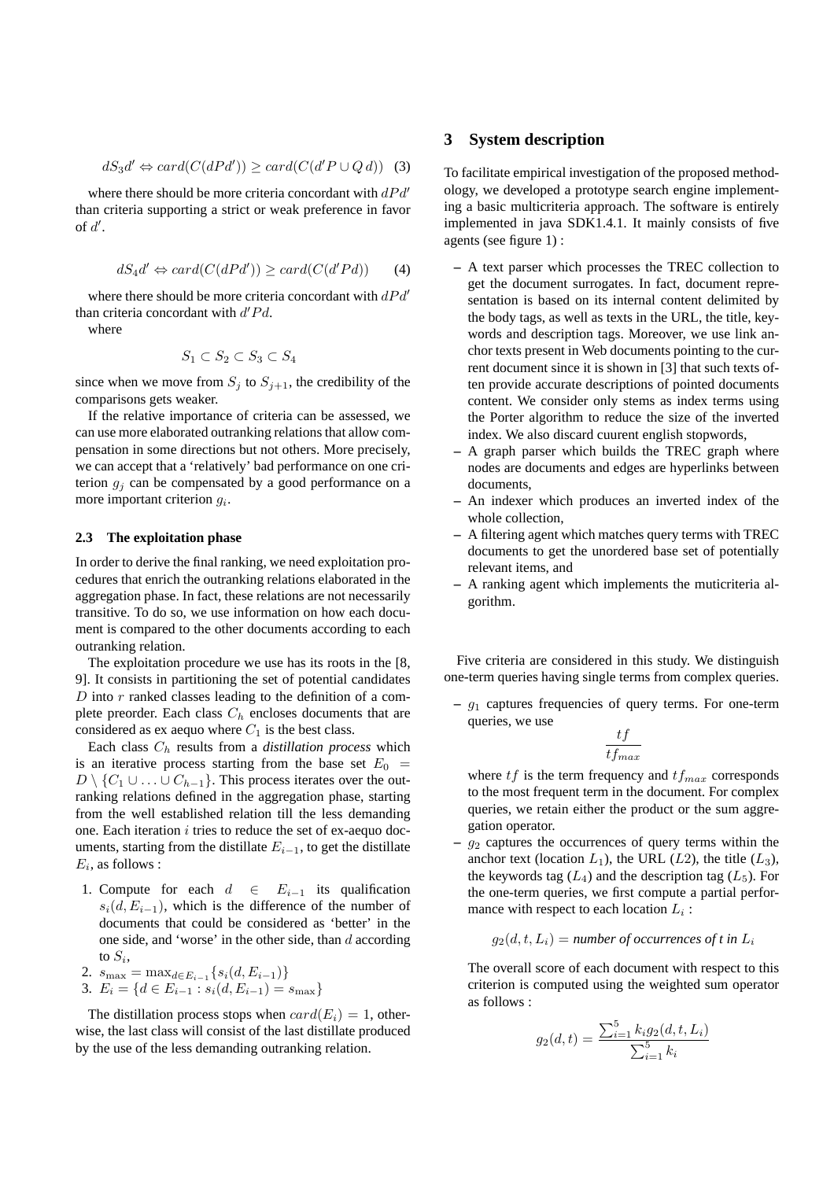$$
dS_3d' \Leftrightarrow card(C(dPd')) \ge card(C(d'P \cup Qd)) \quad (3)
$$

where there should be more criteria concordant with  $dPd'$ than criteria supporting a strict or weak preference in favor of  $d'$ .

$$
dS_4d' \Leftrightarrow card(C(dPd')) \ge card(C(d'Pd)) \qquad (4)
$$

where there should be more criteria concordant with  $dPd'$ than criteria concordant with  $d'Pd$ .

where

$$
S_1 \subset S_2 \subset S_3 \subset S_4
$$

since when we move from  $S_j$  to  $S_{j+1}$ , the credibility of the comparisons gets weaker.

If the relative importance of criteria can be assessed, we can use more elaborated outranking relations that allow compensation in some directions but not others. More precisely, we can accept that a 'relatively' bad performance on one criterion  $q_i$  can be compensated by a good performance on a more important criterion  $g_i$ .

#### **2.3 The exploitation phase**

In order to derive the final ranking, we need exploitation procedures that enrich the outranking relations elaborated in the aggregation phase. In fact, these relations are not necessarily transitive. To do so, we use information on how each document is compared to the other documents according to each outranking relation.

The exploitation procedure we use has its roots in the [8, 9]. It consists in partitioning the set of potential candidates  $D$  into  $r$  ranked classes leading to the definition of a complete preorder. Each class  $C_h$  encloses documents that are considered as ex aequo where  $C_1$  is the best class.

Each class  $C_h$  results from a *distillation process* which is an iterative process starting from the base set  $E_0 =$  $D \setminus \{C_1 \cup \ldots \cup C_{h-1}\}.$  This process iterates over the outranking relations defined in the aggregation phase, starting from the well established relation till the less demanding one. Each iteration  $i$  tries to reduce the set of ex-aequo documents, starting from the distillate  $E_{i-1}$ , to get the distillate  $E_i$ , as follows :

- 1. Compute for each  $d \in E_{i-1}$  its qualification  $s_i(d, E_{i-1})$ , which is the difference of the number of documents that could be considered as 'better' in the one side, and 'worse' in the other side, than  $d$  according to  $S_i$ ,
- 2.  $s_{\text{max}} = \max_{d \in E_{i-1}} \{ s_i(d, E_{i-1}) \}$
- 3.  $E_i = \{d \in E_{i-1} : s_i(d, E_{i-1}) = s_{\text{max}}\}\$

The distillation process stops when  $card(E_i) = 1$ , otherwise, the last class will consist of the last distillate produced by the use of the less demanding outranking relation.

## **3 System description**

To facilitate empirical investigation of the proposed methodology, we developed a prototype search engine implementing a basic multicriteria approach. The software is entirely implemented in java SDK1.4.1. It mainly consists of five agents (see figure 1) :

- **–** A text parser which processes the TREC collection to get the document surrogates. In fact, document representation is based on its internal content delimited by the body tags, as well as texts in the URL, the title, keywords and description tags. Moreover, we use link anchor texts present in Web documents pointing to the current document since it is shown in [3] that such texts often provide accurate descriptions of pointed documents content. We consider only stems as index terms using the Porter algorithm to reduce the size of the inverted index. We also discard cuurent english stopwords,
- **–** A graph parser which builds the TREC graph where nodes are documents and edges are hyperlinks between documents,
- **–** An indexer which produces an inverted index of the whole collection,
- **–** A filtering agent which matches query terms with TREC documents to get the unordered base set of potentially relevant items, and
- **–** A ranking agent which implements the muticriteria algorithm.

Five criteria are considered in this study. We distinguish one-term queries having single terms from complex queries.

**–** g<sup>1</sup> captures frequencies of query terms. For one-term queries, we use

$$
\frac{tf}{tf_{max}}
$$

where  $tf$  is the term frequency and  $tf_{max}$  corresponds to the most frequent term in the document. For complex queries, we retain either the product or the sum aggregation operator.

 $q_2$  captures the occurrences of query terms within the anchor text (location  $L_1$ ), the URL ( $L_2$ ), the title ( $L_3$ ), the keywords tag  $(L_4)$  and the description tag  $(L_5)$ . For the one-term queries, we first compute a partial performance with respect to each location  $L_i$ :

$$
g_2(d, t, L_i) = number of occurrences of t in L_i
$$

The overall score of each document with respect to this criterion is computed using the weighted sum operator as follows :

$$
g_2(d, t) = \frac{\sum_{i=1}^{5} k_i g_2(d, t, L_i)}{\sum_{i=1}^{5} k_i}
$$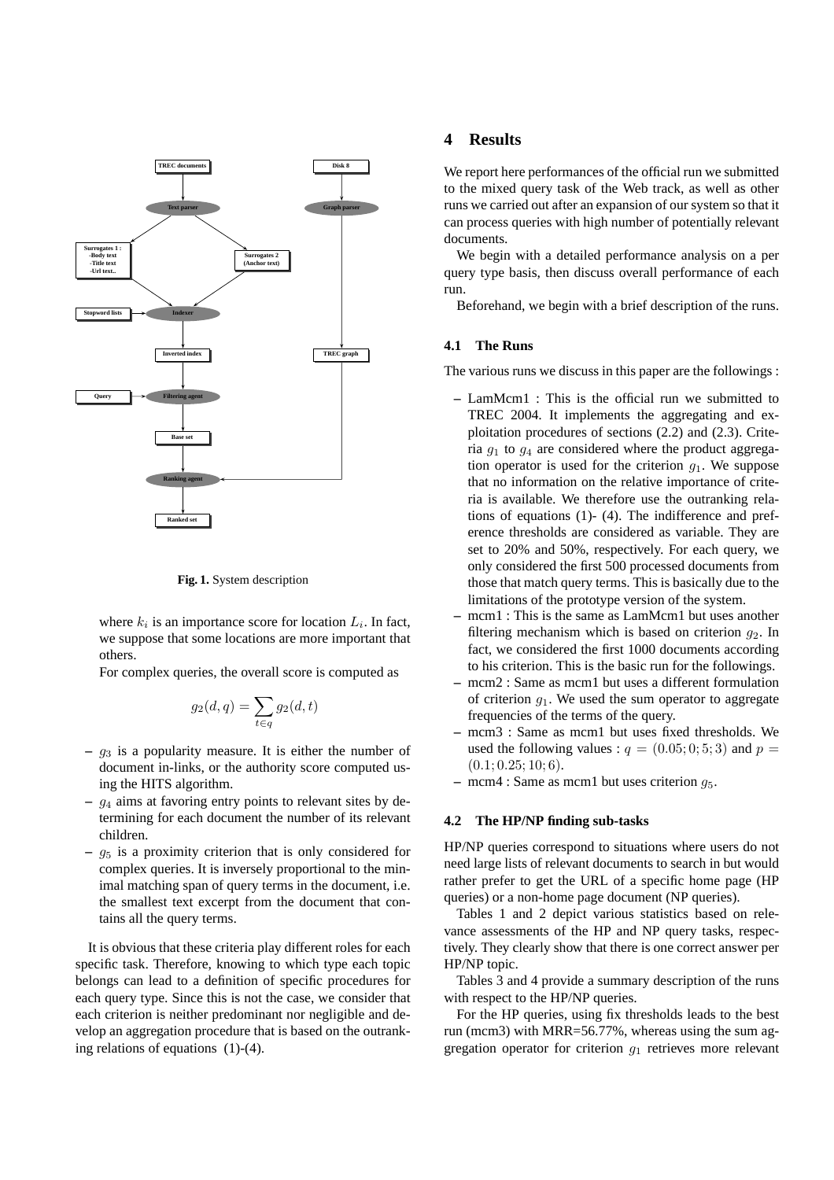

**Fig. 1.** System description

where  $k_i$  is an importance score for location  $L_i$ . In fact, we suppose that some locations are more important that others.

For complex queries, the overall score is computed as

$$
g_2(d,q) = \sum_{t \in q} g_2(d,t)
$$

- **–** g<sup>3</sup> is a popularity measure. It is either the number of document in-links, or the authority score computed using the HITS algorithm.
- **–** g<sup>4</sup> aims at favoring entry points to relevant sites by determining for each document the number of its relevant children.
- **–** g<sup>5</sup> is a proximity criterion that is only considered for complex queries. It is inversely proportional to the minimal matching span of query terms in the document, i.e. the smallest text excerpt from the document that contains all the query terms.

It is obvious that these criteria play different roles for each specific task. Therefore, knowing to which type each topic belongs can lead to a definition of specific procedures for each query type. Since this is not the case, we consider that each criterion is neither predominant nor negligible and develop an aggregation procedure that is based on the outranking relations of equations (1)-(4).

## **4 Results**

We report here performances of the official run we submitted to the mixed query task of the Web track, as well as other runs we carried out after an expansion of our system so that it can process queries with high number of potentially relevant documents.

We begin with a detailed performance analysis on a per query type basis, then discuss overall performance of each run.

Beforehand, we begin with a brief description of the runs.

#### **4.1 The Runs**

The various runs we discuss in this paper are the followings :

- **–** LamMcm1 : This is the official run we submitted to TREC 2004. It implements the aggregating and exploitation procedures of sections (2.2) and (2.3). Criteria  $g_1$  to  $g_4$  are considered where the product aggregation operator is used for the criterion  $g_1$ . We suppose that no information on the relative importance of criteria is available. We therefore use the outranking relations of equations (1)- (4). The indifference and preference thresholds are considered as variable. They are set to 20% and 50%, respectively. For each query, we only considered the first 500 processed documents from those that match query terms. This is basically due to the limitations of the prototype version of the system.
- **–** mcm1 : This is the same as LamMcm1 but uses another filtering mechanism which is based on criterion  $q_2$ . In fact, we considered the first 1000 documents according to his criterion. This is the basic run for the followings.
- **–** mcm2 : Same as mcm1 but uses a different formulation of criterion  $q_1$ . We used the sum operator to aggregate frequencies of the terms of the query.
- **–** mcm3 : Same as mcm1 but uses fixed thresholds. We used the following values :  $q = (0.05; 0; 5; 3)$  and  $p =$  $(0.1; 0.25; 10; 6)$ .
- **–** mcm4 : Same as mcm1 but uses criterion g5.

## **4.2 The HP/NP finding sub-tasks**

HP/NP queries correspond to situations where users do not need large lists of relevant documents to search in but would rather prefer to get the URL of a specific home page (HP queries) or a non-home page document (NP queries).

Tables 1 and 2 depict various statistics based on relevance assessments of the HP and NP query tasks, respectively. They clearly show that there is one correct answer per HP/NP topic.

Tables 3 and 4 provide a summary description of the runs with respect to the HP/NP queries.

For the HP queries, using fix thresholds leads to the best run (mcm3) with MRR=56.77%, whereas using the sum aggregation operator for criterion  $g_1$  retrieves more relevant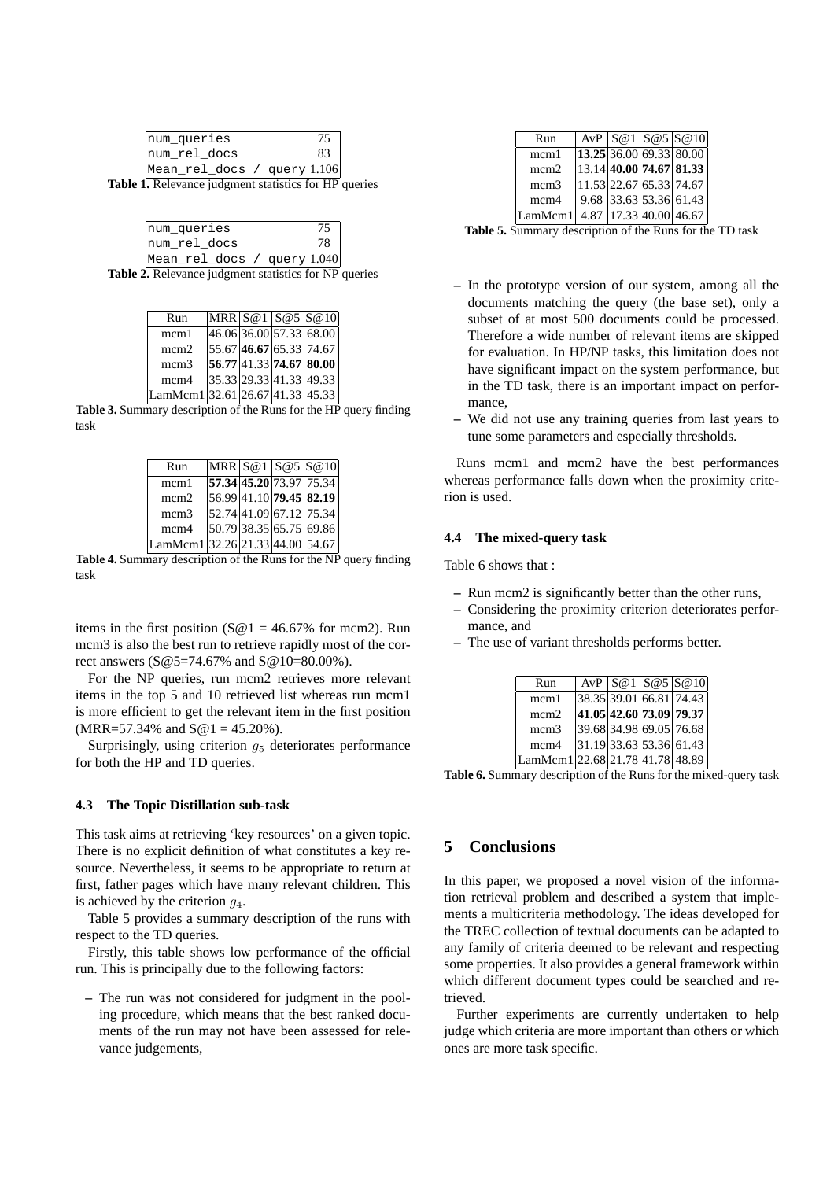| num queries                 |  |
|-----------------------------|--|
| num rel docs                |  |
| Mean_rel_docs / query 1.106 |  |

**Table 1.** Relevance judgment statistics for HP queries

| num queries                   |    |  |
|-------------------------------|----|--|
| Inum rel docs                 | 78 |  |
| Mean_rel_docs / query   1.040 |    |  |

**Table 2.** Relevance judgment statistics for NP queries

| Run                             |  | MRR S@1 S@5 S@10                |
|---------------------------------|--|---------------------------------|
| mcm1                            |  | $46.06$ 36.00 57.33 68.00       |
| mcm2                            |  | $ 55.67 $ 46.67 $ 65.33 74.67 $ |
| mcm <sub>3</sub>                |  | 56.77 41.33 74.67 80.00         |
| mcm4                            |  | 35.33 29.33 41.33 49.33         |
| LamMcm1 32.61 26.67 41.33 45.33 |  |                                 |

**Table 3.** Summary description of the Runs for the HP query finding task

| Run                             |  | $MRR$ $S@1$ $S@5$ $S@10$    |
|---------------------------------|--|-----------------------------|
| mcm1                            |  | 57.34 45.20 73.97 75.34     |
| mcm <sub>2</sub>                |  | $ 56.99 41.10 $ 79.45 82.19 |
| mcm <sub>3</sub>                |  | 52.74 41.09 67.12 75.34     |
| mcm4                            |  | 50.79 38.35 65.75 69.86     |
| LamMcm1 32.26 21.33 44.00 54.67 |  |                             |

**Table 4.** Summary description of the Runs for the NP query finding task

items in the first position ( $\mathcal{S} \otimes 1 = 46.67\%$  for mcm2). Run mcm3 is also the best run to retrieve rapidly most of the correct answers (S@5=74.67% and S@10=80.00%).

For the NP queries, run mcm2 retrieves more relevant items in the top 5 and 10 retrieved list whereas run mcm1 is more efficient to get the relevant item in the first position  $(MRR=57.34\%$  and  $S@1 = 45.20\%$ ).

Surprisingly, using criterion  $q_5$  deteriorates performance for both the HP and TD queries.

#### **4.3 The Topic Distillation sub-task**

This task aims at retrieving 'key resources' on a given topic. There is no explicit definition of what constitutes a key resource. Nevertheless, it seems to be appropriate to return at first, father pages which have many relevant children. This is achieved by the criterion  $q_4$ .

Table 5 provides a summary description of the runs with respect to the TD queries.

Firstly, this table shows low performance of the official run. This is principally due to the following factors:

**–** The run was not considered for judgment in the pooling procedure, which means that the best ranked documents of the run may not have been assessed for relevance judgements,

| Run     |  | AvP   S@1   S@5   S@10      |
|---------|--|-----------------------------|
| mcm1    |  | $13.25$ 36.00 69.33 80.00   |
| mcm2    |  | $ 13.14 $ 40.00 74.67 81.33 |
| mcm3    |  | $11.53$ 22.67 65.33 74.67   |
| mcm4    |  | $9.68$ 33.63 53.36 61.43    |
| LamMcm1 |  | 4.87 17.33 40.00 46.67      |

**Table 5.** Summary description of the Runs for the TD task

- **–** In the prototype version of our system, among all the documents matching the query (the base set), only a subset of at most 500 documents could be processed. Therefore a wide number of relevant items are skipped for evaluation. In HP/NP tasks, this limitation does not have significant impact on the system performance, but in the TD task, there is an important impact on performance,
- **–** We did not use any training queries from last years to tune some parameters and especially thresholds.

Runs mcm1 and mcm2 have the best performances whereas performance falls down when the proximity criterion is used.

#### **4.4 The mixed-query task**

Table 6 shows that  $\cdot$ 

- **–** Run mcm2 is significantly better than the other runs,
- **–** Considering the proximity criterion deteriorates performance, and
- **–** The use of variant thresholds performs better.

| Run                             |  | AvP   S@1   S@5   S@10    |
|---------------------------------|--|---------------------------|
| mcm1                            |  | $38.35$ 39.01 66.81 74.43 |
| mcm2                            |  | 41.05 42.60 73.09 79.37   |
| mcm <sub>3</sub>                |  | 39.68 34.98 69.05 76.68   |
| mcm4                            |  | $31.19$ 33.63 53.36 61.43 |
| LamMcm1 22.68 21.78 41.78 48.89 |  |                           |
|                                 |  |                           |

**Table 6.** Summary description of the Runs for the mixed-query task

## **5 Conclusions**

In this paper, we proposed a novel vision of the information retrieval problem and described a system that implements a multicriteria methodology. The ideas developed for the TREC collection of textual documents can be adapted to any family of criteria deemed to be relevant and respecting some properties. It also provides a general framework within which different document types could be searched and retrieved.

Further experiments are currently undertaken to help judge which criteria are more important than others or which ones are more task specific.